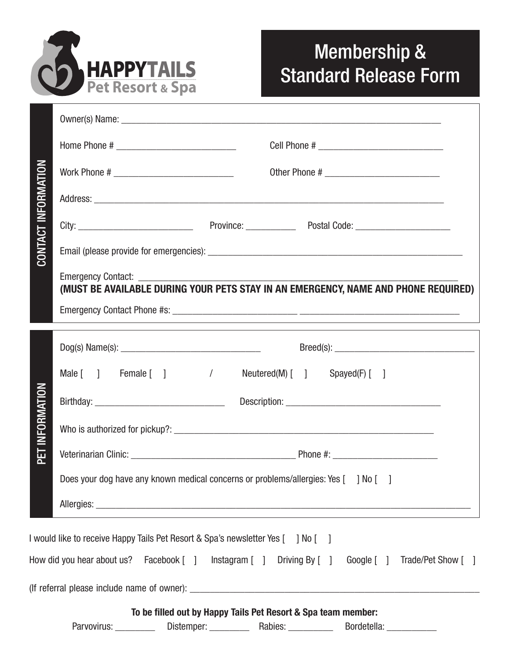

## Membership & Standard Release Form

|                                                  | (MUST BE AVAILABLE DURING YOUR PETS STAY IN AN EMERGENCY, NAME AND PHONE REQUIRED)                                                                       |
|--------------------------------------------------|----------------------------------------------------------------------------------------------------------------------------------------------------------|
| CONTACT INFORMATION<br><b>INFORMATION</b><br>ΡËΤ |                                                                                                                                                          |
|                                                  | Male [ ] Female [ ] / Neutered(M) [ ] Spayed(F) [ ]                                                                                                      |
|                                                  |                                                                                                                                                          |
|                                                  |                                                                                                                                                          |
|                                                  |                                                                                                                                                          |
|                                                  | Does your dog have any known medical concerns or problems/allergies: Yes [ ] No [ ]                                                                      |
|                                                  | and the control of the control of the control of the control of the control of the control of the control of the                                         |
|                                                  | I would like to receive Happy Tails Pet Resort & Spa's newsletter Yes [ ] No [ ]                                                                         |
|                                                  | How did you hear about us? Facebook [ ] Instagram [ ] Driving By [ ] Google [ ] Trade/Pet Show [ ]                                                       |
|                                                  |                                                                                                                                                          |
|                                                  | To be filled out by Happy Tails Pet Resort & Spa team member:<br>Parvovirus: ___________ Distemper: _________ Rabies: __________ Bordetella: ___________ |
|                                                  |                                                                                                                                                          |